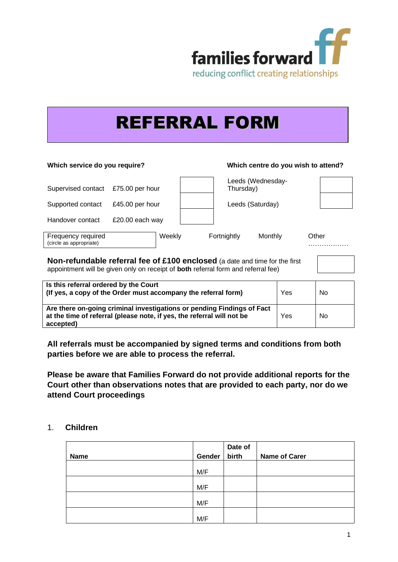

# REFERRAL FORM

## **Which service do you require? Which centre do you wish to attend?** Supervised contact £75.00 per hour Leeds (Wednesday-Thursday) Supported contact £45.00 per hour  $\vert$  Leeds (Saturday) Handover contact £20.00 each way Frequency required (circle as appropriate) Weekly Fortnightly Monthly Other …………………

**Non-refundable referral fee of £100 enclosed** (a date and time for the first appointment will be given only on receipt of **both** referral form and referral fee)

| Is this referral ordered by the Court<br>(If yes, a copy of the Order must accompany the referral form)                                                       | Yes | N <sub>0</sub> |
|---------------------------------------------------------------------------------------------------------------------------------------------------------------|-----|----------------|
| Are there on-going criminal investigations or pending Findings of Fact<br>at the time of referral (please note, if yes, the referral will not be<br>accepted) | Yes | No             |

**All referrals must be accompanied by signed terms and conditions from both parties before we are able to process the referral.**

**Please be aware that Families Forward do not provide additional reports for the Court other than observations notes that are provided to each party, nor do we attend Court proceedings**

# 1. **Children**

|      |        | Date of |                      |
|------|--------|---------|----------------------|
| Name | Gender | birth   | <b>Name of Carer</b> |
|      | M/F    |         |                      |
|      | M/F    |         |                      |
|      | M/F    |         |                      |
|      | M/F    |         |                      |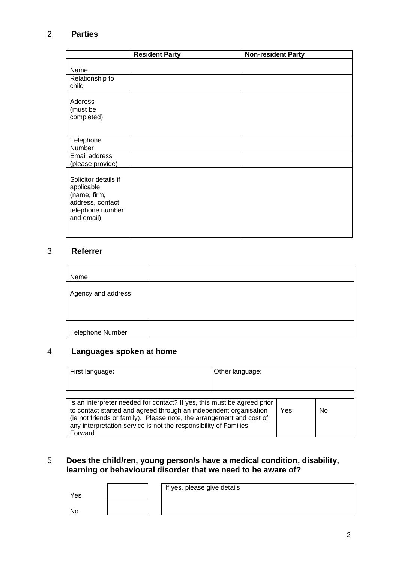# 2. **Parties**

|                                                                                                          | <b>Resident Party</b> | <b>Non-resident Party</b> |
|----------------------------------------------------------------------------------------------------------|-----------------------|---------------------------|
| Name<br>Relationship to<br>child                                                                         |                       |                           |
| Address<br>(must be<br>completed)                                                                        |                       |                           |
| Telephone<br>Number<br>Email address<br>(please provide)                                                 |                       |                           |
| Solicitor details if<br>applicable<br>(name, firm,<br>address, contact<br>telephone number<br>and email) |                       |                           |

# 3. **Referrer**

| Name               |  |
|--------------------|--|
| Agency and address |  |
|                    |  |
|                    |  |
| Telephone Number   |  |

# 4. **Languages spoken at home**

| First language:                                                                                                                                                                                                                                                                                     | Other language: |     |    |
|-----------------------------------------------------------------------------------------------------------------------------------------------------------------------------------------------------------------------------------------------------------------------------------------------------|-----------------|-----|----|
| Is an interpreter needed for contact? If yes, this must be agreed prior<br>to contact started and agreed through an independent organisation<br>(ie not friends or family). Please note, the arrangement and cost of<br>any interpretation service is not the responsibility of Families<br>Forward |                 | Yes | No |

# 5. **Does the child/ren, young person/s have a medical condition, disability, learning or behavioural disorder that we need to be aware of?**

|  | If yes, please give details |
|--|-----------------------------|
|  |                             |

No

Yes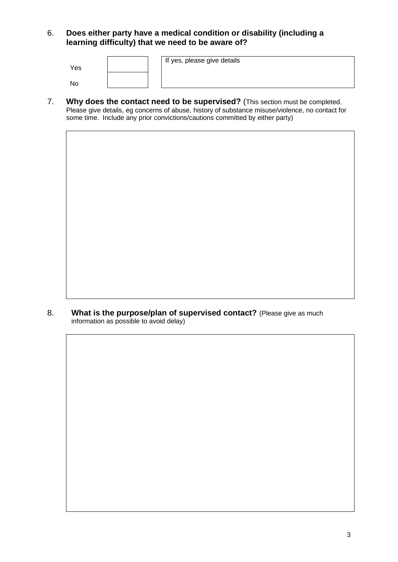6. **Does either party have a medical condition or disability (including a learning difficulty) that we need to be aware of?**

| Yes       |  | If yes, please give details |
|-----------|--|-----------------------------|
| <b>NO</b> |  |                             |

7. **Why does the contact need to be supervised?** (This section must be completed. Please give details, eg concerns of abuse, history of substance misuse/violence, no contact for some time. Include any prior convictions/cautions committed by either party)

8. **What is the purpose/plan of supervised contact?** (Please give as much information as possible to avoid delay)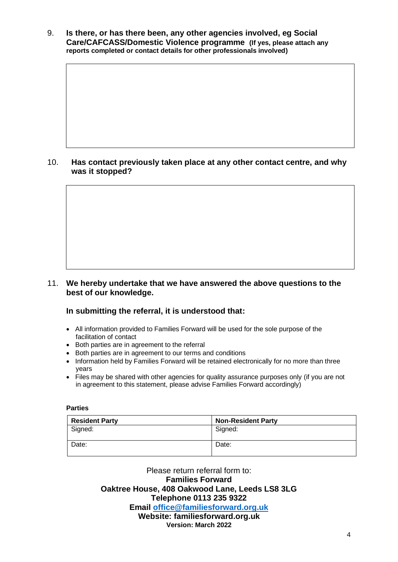9. **Is there, or has there been, any other agencies involved, eg Social Care/CAFCASS/Domestic Violence programme (If yes, please attach any reports completed or contact details for other professionals involved)**

# 10. **Has contact previously taken place at any other contact centre, and why was it stopped?**

11. **We hereby undertake that we have answered the above questions to the best of our knowledge.** 

### **In submitting the referral, it is understood that:**

- All information provided to Families Forward will be used for the sole purpose of the facilitation of contact
- Both parties are in agreement to the referral
- Both parties are in agreement to our terms and conditions
- Information held by Families Forward will be retained electronically for no more than three years
- Files may be shared with other agencies for quality assurance purposes only (if you are not in agreement to this statement, please advise Families Forward accordingly)

#### **Parties**

| <b>Resident Party</b> | <b>Non-Resident Party</b> |
|-----------------------|---------------------------|
| Signed:               | Signed:                   |
| Date:                 | Date:                     |

Please return referral form to: **Families Forward Oaktree House, 408 Oakwood Lane, Leeds LS8 3LG Telephone 0113 235 9322 Email [office@familiesforward.org.uk](mailto:office@familiesforward.org.uk) Website: familiesforward.org.uk Version: March 2022**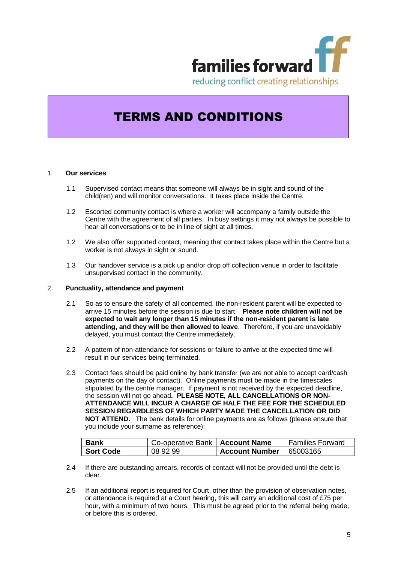

# TERMS AND CONDITIONS

#### 1. **Our services**

- 1.1 Supervised contact means that someone will always be in sight and sound of the child(ren) and will monitor conversations. It takes place inside the Centre.
- 1.2 Escorted community contact is where a worker will accompany a family outside the Centre with the agreement of all parties. In busy settings it may not always be possible to hear all conversations or to be in line of sight at all times.
- 1.2 We also offer supported contact, meaning that contact takes place within the Centre but a worker is not always in sight or sound.
- 1.3 Our handover service is a pick up and/or drop off collection venue in order to facilitate unsupervised contact in the community.

#### 2. **Punctuality, attendance and payment**

- 2.1 So as to ensure the safety of all concerned, the non-resident parent will be expected to arrive 15 minutes before the session is due to start. **Please note children will not be expected to wait any longer than 15 minutes if the non-resident parent is late attending, and they will be then allowed to leave**. Therefore, if you are unavoidably delayed, you must contact the Centre immediately.
- 2.2 A pattern of non-attendance for sessions or failure to arrive at the expected time will result in our services being terminated.
- 2.3 Contact fees should be paid online by bank transfer (we are not able to accept card/cash payments on the day of contact). Online payments must be made in the timescales stipulated by the centre manager. If payment is not received by the expected deadline, the session will not go ahead**. PLEASE NOTE, ALL CANCELLATIONS OR NON-ATTENDANCE WILL INCUR A CHARGE OF HALF THE FEE FOR THE SCHEDULED SESSION REGARDLESS OF WHICH PARTY MADE THE CANCELLATION OR DID NOT ATTEND.** The bank details for online payments are as follows (please ensure that you include your surname as reference):

| <b>Bank</b>      | Co-operative Bank   Account Name |                           | Families Forward |
|------------------|----------------------------------|---------------------------|------------------|
| <b>Sort Code</b> | 08 92 99                         | Account Number   65003165 |                  |

- 2.4 If there are outstanding arrears, records of contact will not be provided until the debt is clear.
- 2.5 If an additional report is required for Court, other than the provision of observation notes, or attendance is required at a Court hearing, this will carry an additional cost of £75 per hour, with a minimum of two hours. This must be agreed prior to the referral being made, or before this is ordered.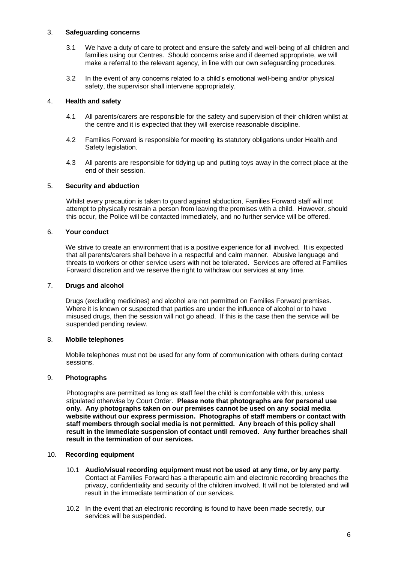#### 3. **Safeguarding concerns**

- 3.1 We have a duty of care to protect and ensure the safety and well-being of all children and families using our Centres. Should concerns arise and if deemed appropriate, we will make a referral to the relevant agency, in line with our own safeguarding procedures.
- 3.2 In the event of any concerns related to a child's emotional well-being and/or physical safety, the supervisor shall intervene appropriately.

#### 4. **Health and safety**

- 4.1 All parents/carers are responsible for the safety and supervision of their children whilst at the centre and it is expected that they will exercise reasonable discipline.
- 4.2 Families Forward is responsible for meeting its statutory obligations under Health and Safety legislation.
- 4.3 All parents are responsible for tidying up and putting toys away in the correct place at the end of their session.

#### 5. **Security and abduction**

Whilst every precaution is taken to guard against abduction, Families Forward staff will not attempt to physically restrain a person from leaving the premises with a child. However, should this occur, the Police will be contacted immediately, and no further service will be offered.

#### 6. **Your conduct**

We strive to create an environment that is a positive experience for all involved. It is expected that all parents/carers shall behave in a respectful and calm manner. Abusive language and threats to workers or other service users with not be tolerated. Services are offered at Families Forward discretion and we reserve the right to withdraw our services at any time.

#### 7. **Drugs and alcohol**

Drugs (excluding medicines) and alcohol are not permitted on Families Forward premises. Where it is known or suspected that parties are under the influence of alcohol or to have misused drugs, then the session will not go ahead. If this is the case then the service will be suspended pending review.

#### 8. **Mobile telephones**

Mobile telephones must not be used for any form of communication with others during contact sessions.

#### 9. **Photographs**

Photographs are permitted as long as staff feel the child is comfortable with this, unless stipulated otherwise by Court Order. **Please note that photographs are for personal use only. Any photographs taken on our premises cannot be used on any social media website without our express permission. Photographs of staff members or contact with staff members through social media is not permitted. Any breach of this policy shall result in the immediate suspension of contact until removed. Any further breaches shall result in the termination of our services.**

#### 10. **Recording equipment**

- 10.1 **Audio/visual recording equipment must not be used at any time, or by any party**. Contact at Families Forward has a therapeutic aim and electronic recording breaches the privacy, confidentiality and security of the children involved. It will not be tolerated and will result in the immediate termination of our services.
- 10.2 In the event that an electronic recording is found to have been made secretly, our services will be suspended.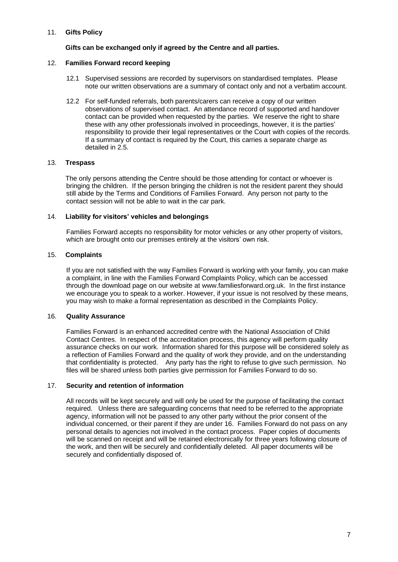#### 11. **Gifts Policy**

#### **Gifts can be exchanged only if agreed by the Centre and all parties.**

#### 12. **Families Forward record keeping**

- 12.1 Supervised sessions are recorded by supervisors on standardised templates. Please note our written observations are a summary of contact only and not a verbatim account.
- 12.2 For self-funded referrals, both parents/carers can receive a copy of our written observations of supervised contact. An attendance record of supported and handover contact can be provided when requested by the parties. We reserve the right to share these with any other professionals involved in proceedings, however, it is the parties' responsibility to provide their legal representatives or the Court with copies of the records. If a summary of contact is required by the Court, this carries a separate charge as detailed in 2.5.

#### 13. **Trespass**

The only persons attending the Centre should be those attending for contact or whoever is bringing the children. If the person bringing the children is not the resident parent they should still abide by the Terms and Conditions of Families Forward. Any person not party to the contact session will not be able to wait in the car park.

#### 14. **Liability for visitors' vehicles and belongings**

Families Forward accepts no responsibility for motor vehicles or any other property of visitors, which are brought onto our premises entirely at the visitors' own risk.

#### 15. **Complaints**

If you are not satisfied with the way Families Forward is working with your family, you can make a complaint, in line with the Families Forward Complaints Policy, which can be accessed through the download page on our website at www.familiesforward.org.uk. In the first instance we encourage you to speak to a worker. However, if your issue is not resolved by these means, you may wish to make a formal representation as described in the Complaints Policy.

#### 16. **Quality Assurance**

Families Forward is an enhanced accredited centre with the National Association of Child Contact Centres. In respect of the accreditation process, this agency will perform quality assurance checks on our work. Information shared for this purpose will be considered solely as a reflection of Families Forward and the quality of work they provide, and on the understanding that confidentiality is protected. Any party has the right to refuse to give such permission. No files will be shared unless both parties give permission for Families Forward to do so.

#### 17. **Security and retention of information**

All records will be kept securely and will only be used for the purpose of facilitating the contact required. Unless there are safeguarding concerns that need to be referred to the appropriate agency, information will not be passed to any other party without the prior consent of the individual concerned, or their parent if they are under 16. Families Forward do not pass on any personal details to agencies not involved in the contact process. Paper copies of documents will be scanned on receipt and will be retained electronically for three years following closure of the work, and then will be securely and confidentially deleted. All paper documents will be securely and confidentially disposed of.